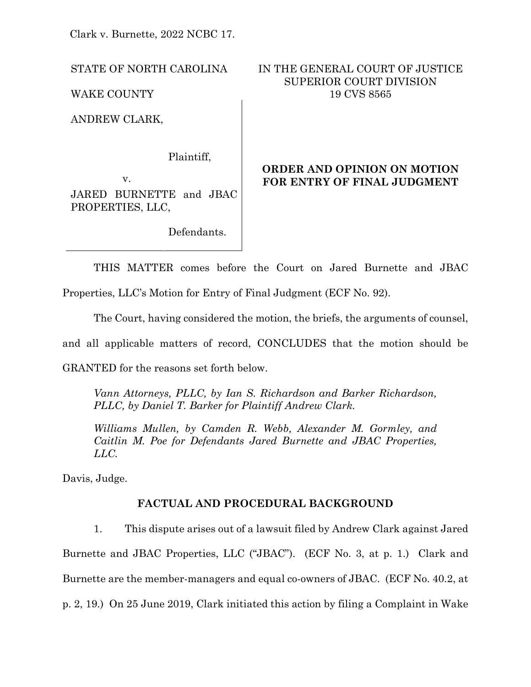Clark v. Burnette, 2022 NCBC 17.

ANDREW CLARK,

Plaintiff,

v. JARED BURNETTE and JBAC PROPERTIES, LLC,

Defendants.

# STATE OF NORTH CAROLINA IN THE GENERAL COURT OF JUSTICE SUPERIOR COURT DIVISION WAKE COUNTY 19 CVS 8565

# **ORDER AND OPINION ON MOTION FOR ENTRY OF FINAL JUDGMENT**

THIS MATTER comes before the Court on Jared Burnette and JBAC

Properties, LLC's Motion for Entry of Final Judgment (ECF No. 92).

The Court, having considered the motion, the briefs, the arguments of counsel,

and all applicable matters of record, CONCLUDES that the motion should be

GRANTED for the reasons set forth below.

*Vann Attorneys, PLLC, by Ian S. Richardson and Barker Richardson, PLLC, by Daniel T. Barker for Plaintiff Andrew Clark.*

*Williams Mullen, by Camden R. Webb, Alexander M. Gormley, and Caitlin M. Poe for Defendants Jared Burnette and JBAC Properties, LLC.*

Davis, Judge.

# **FACTUAL AND PROCEDURAL BACKGROUND**

1. This dispute arises out of a lawsuit filed by Andrew Clark against Jared Burnette and JBAC Properties, LLC ("JBAC"). (ECF No. 3, at p. 1.) Clark and Burnette are the member-managers and equal co-owners of JBAC. (ECF No. 40.2, at p. 2, 19.) On 25 June 2019, Clark initiated this action by filing a Complaint in Wake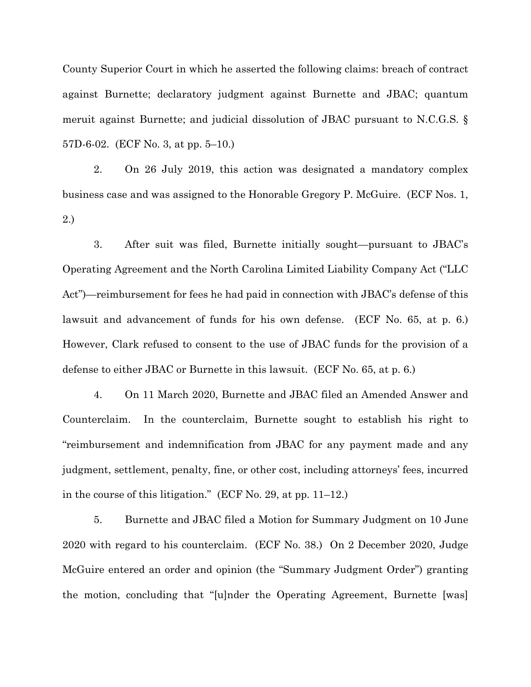County Superior Court in which he asserted the following claims: breach of contract against Burnette; declaratory judgment against Burnette and JBAC; quantum meruit against Burnette; and judicial dissolution of JBAC pursuant to N.C.G.S. § 57D-6-02. (ECF No. 3, at pp. 5–10.)

2. On 26 July 2019, this action was designated a mandatory complex business case and was assigned to the Honorable Gregory P. McGuire. (ECF Nos. 1, 2.)

3. After suit was filed, Burnette initially sought—pursuant to JBAC's Operating Agreement and the North Carolina Limited Liability Company Act ("LLC Act")—reimbursement for fees he had paid in connection with JBAC's defense of this lawsuit and advancement of funds for his own defense. (ECF No. 65, at p. 6.) However, Clark refused to consent to the use of JBAC funds for the provision of a defense to either JBAC or Burnette in this lawsuit. (ECF No. 65, at p. 6.)

4. On 11 March 2020, Burnette and JBAC filed an Amended Answer and Counterclaim. In the counterclaim, Burnette sought to establish his right to "reimbursement and indemnification from JBAC for any payment made and any judgment, settlement, penalty, fine, or other cost, including attorneys' fees, incurred in the course of this litigation." (ECF No. 29, at pp. 11–12.)

5. Burnette and JBAC filed a Motion for Summary Judgment on 10 June 2020 with regard to his counterclaim. (ECF No. 38.) On 2 December 2020, Judge McGuire entered an order and opinion (the "Summary Judgment Order") granting the motion, concluding that "[u]nder the Operating Agreement, Burnette [was]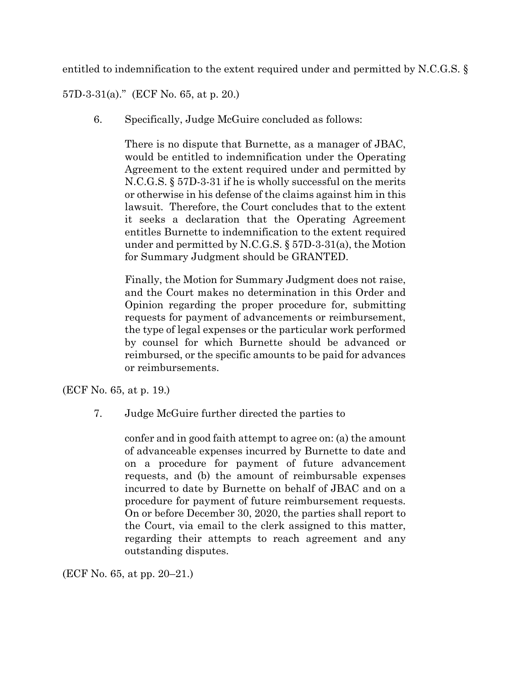entitled to indemnification to the extent required under and permitted by N.C.G.S. §

57D-3-31(a)." (ECF No. 65, at p. 20.)

6. Specifically, Judge McGuire concluded as follows:

There is no dispute that Burnette, as a manager of JBAC, would be entitled to indemnification under the Operating Agreement to the extent required under and permitted by N.C.G.S. § 57D-3-31 if he is wholly successful on the merits or otherwise in his defense of the claims against him in this lawsuit. Therefore, the Court concludes that to the extent it seeks a declaration that the Operating Agreement entitles Burnette to indemnification to the extent required under and permitted by N.C.G.S. § 57D-3-31(a), the Motion for Summary Judgment should be GRANTED.

Finally, the Motion for Summary Judgment does not raise, and the Court makes no determination in this Order and Opinion regarding the proper procedure for, submitting requests for payment of advancements or reimbursement, the type of legal expenses or the particular work performed by counsel for which Burnette should be advanced or reimbursed, or the specific amounts to be paid for advances or reimbursements.

(ECF No. 65, at p. 19.)

7. Judge McGuire further directed the parties to

confer and in good faith attempt to agree on: (a) the amount of advanceable expenses incurred by Burnette to date and on a procedure for payment of future advancement requests, and (b) the amount of reimbursable expenses incurred to date by Burnette on behalf of JBAC and on a procedure for payment of future reimbursement requests. On or before December 30, 2020, the parties shall report to the Court, via email to the clerk assigned to this matter, regarding their attempts to reach agreement and any outstanding disputes.

(ECF No. 65, at pp. 20–21.)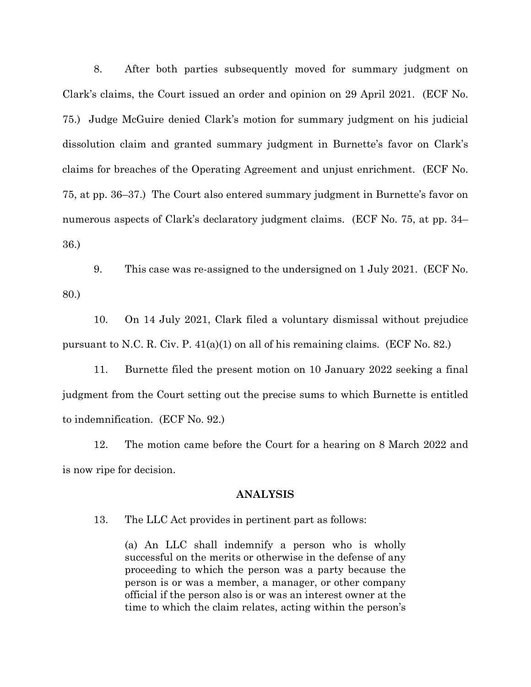8. After both parties subsequently moved for summary judgment on Clark's claims, the Court issued an order and opinion on 29 April 2021. (ECF No. 75.) Judge McGuire denied Clark's motion for summary judgment on his judicial dissolution claim and granted summary judgment in Burnette's favor on Clark's claims for breaches of the Operating Agreement and unjust enrichment. (ECF No. 75, at pp. 36–37.) The Court also entered summary judgment in Burnette's favor on numerous aspects of Clark's declaratory judgment claims. (ECF No. 75, at pp. 34– 36.)

9. This case was re-assigned to the undersigned on 1 July 2021. (ECF No. 80.)

10. On 14 July 2021, Clark filed a voluntary dismissal without prejudice pursuant to N.C. R. Civ. P.  $41(a)(1)$  on all of his remaining claims. (ECF No. 82.)

11. Burnette filed the present motion on 10 January 2022 seeking a final judgment from the Court setting out the precise sums to which Burnette is entitled to indemnification. (ECF No. 92.)

12. The motion came before the Court for a hearing on 8 March 2022 and is now ripe for decision.

#### **ANALYSIS**

13. The LLC Act provides in pertinent part as follows:

(a) An LLC shall indemnify a person who is wholly successful on the merits or otherwise in the defense of any proceeding to which the person was a party because the person is or was a member, a manager, or other company official if the person also is or was an interest owner at the time to which the claim relates, acting within the person's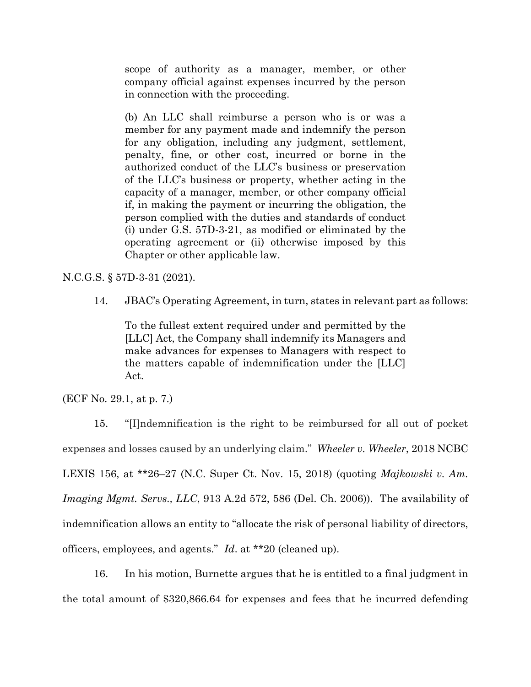scope of authority as a manager, member, or other company official against expenses incurred by the person in connection with the proceeding.

(b) An LLC shall reimburse a person who is or was a member for any payment made and indemnify the person for any obligation, including any judgment, settlement, penalty, fine, or other cost, incurred or borne in the authorized conduct of the LLC's business or preservation of the LLC's business or property, whether acting in the capacity of a manager, member, or other company official if, in making the payment or incurring the obligation, the person complied with the duties and standards of conduct (i) under G.S. 57D-3-21, as modified or eliminated by the operating agreement or (ii) otherwise imposed by this Chapter or other applicable law.

N.C.G.S. § 57D-3-31 (2021).

14. JBAC's Operating Agreement, in turn, states in relevant part as follows:

To the fullest extent required under and permitted by the [LLC] Act, the Company shall indemnify its Managers and make advances for expenses to Managers with respect to the matters capable of indemnification under the [LLC] Act.

(ECF No. 29.1, at p. 7.)

15. "[I]ndemnification is the right to be reimbursed for all out of pocket expenses and losses caused by an underlying claim." *Wheeler v. Wheeler*, 2018 NCBC LEXIS 156, at \*\*26–27 (N.C. Super Ct. Nov. 15, 2018) (quoting *[Majkowski](https://advance.lexis.com/document/?pdmfid=1000516&crid=bb47b068-d3c9-4657-97da-0f32c94ec654&pddocfullpath=%2Fshared%2Fdocument%2Fcases%2Furn%3AcontentItem%3A5TSS-2T21-JBM1-M118-00000-00&pdcontentcomponentid=288651&pdshepid=urn%3AcontentItem%3A5TR0-96F1-DXC7-J52Y-00000-00&pdteaserkey=sr7&pditab=allpods&ecomp=qzgpk&earg=sr7&prid=2a29a467-f999-4fa1-94e5-1207f043727d) v. Am. [Imaging](https://advance.lexis.com/document/?pdmfid=1000516&crid=bb47b068-d3c9-4657-97da-0f32c94ec654&pddocfullpath=%2Fshared%2Fdocument%2Fcases%2Furn%3AcontentItem%3A5TSS-2T21-JBM1-M118-00000-00&pdcontentcomponentid=288651&pdshepid=urn%3AcontentItem%3A5TR0-96F1-DXC7-J52Y-00000-00&pdteaserkey=sr7&pditab=allpods&ecomp=qzgpk&earg=sr7&prid=2a29a467-f999-4fa1-94e5-1207f043727d) Mgmt. Servs., LLC*, 913 A.2d 572, 586 (Del. Ch. 2006)). The availability of indemnification allows an entity to "allocate the risk of personal liability of directors, officers, employees, and agents." *Id*. at \*\*20 (cleaned up).

16. In his motion, Burnette argues that he is entitled to a final judgment in the total amount of \$320,866.64 for expenses and fees that he incurred defending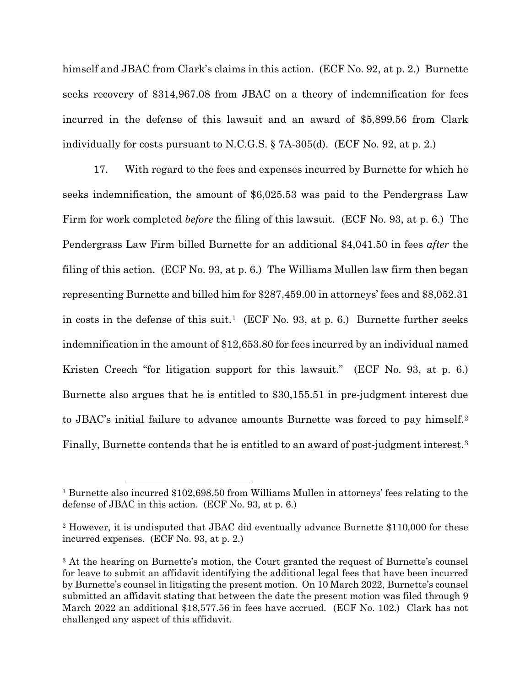himself and JBAC from Clark's claims in this action. (ECF No. 92, at p. 2.) Burnette seeks recovery of \$314,967.08 from JBAC on a theory of indemnification for fees incurred in the defense of this lawsuit and an award of \$5,899.56 from Clark individually for costs pursuant to N.C.G.S.  $\S$  7A-305(d). (ECF No. 92, at p. 2.)

17. With regard to the fees and expenses incurred by Burnette for which he seeks indemnification, the amount of \$6,025.53 was paid to the Pendergrass Law Firm for work completed *before* the filing of this lawsuit. (ECF No. 93, at p. 6.) The Pendergrass Law Firm billed Burnette for an additional \$4,041.50 in fees *after* the filing of this action. (ECF No. 93, at p. 6.) The Williams Mullen law firm then began representing Burnette and billed him for \$287,459.00 in attorneys' fees and \$8,052.31 in costs in the defense of this suit.<sup>[1](#page-5-0)</sup> (ECF No. 93, at p. 6.) Burnette further seeks indemnification in the amount of \$12,653.80 for fees incurred by an individual named Kristen Creech "for litigation support for this lawsuit." (ECF No. 93, at p. 6.) Burnette also argues that he is entitled to \$30,155.51 in pre-judgment interest due to JBAC's initial failure to advance amounts Burnette was forced to pay himself.[2](#page-5-1) Finally, Burnette contends that he is entitled to an award of post-judgment interest.[3](#page-5-2)

<span id="page-5-0"></span><sup>&</sup>lt;sup>1</sup> Burnette also incurred \$102,698.50 from Williams Mullen in attorneys' fees relating to the defense of JBAC in this action. (ECF No. 93, at p. 6.)

<span id="page-5-1"></span><sup>&</sup>lt;sup>2</sup> However, it is undisputed that JBAC did eventually advance Burnette \$110,000 for these incurred expenses. (ECF No. 93, at p. 2.)

<span id="page-5-2"></span><sup>&</sup>lt;sup>3</sup> At the hearing on Burnette's motion, the Court granted the request of Burnette's counsel for leave to submit an affidavit identifying the additional legal fees that have been incurred by Burnette's counsel in litigating the present motion. On 10 March 2022, Burnette's counsel submitted an affidavit stating that between the date the present motion was filed through 9 March 2022 an additional \$18,577.56 in fees have accrued. (ECF No. 102.) Clark has not challenged any aspect of this affidavit.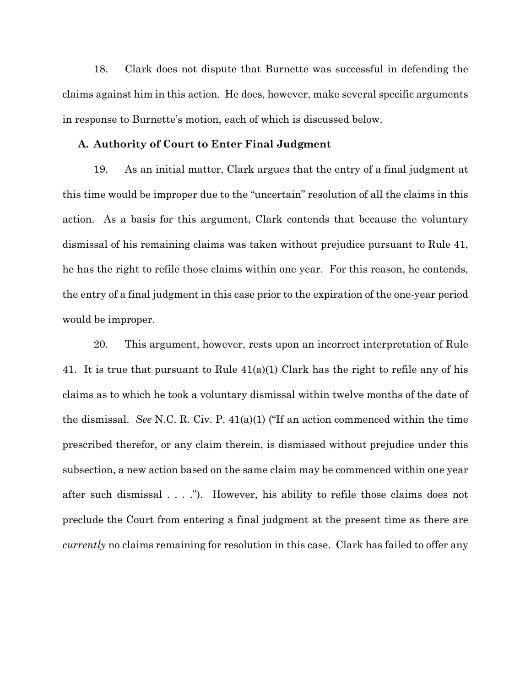18. Clark does not dispute that Burnette was successful in defending the claims against him in this action. He does, however, make several specific arguments in response to Burnette's motion, each of which is discussed below.

#### **A. Authority of Court to Enter Final Judgment**

19. As an initial matter, Clark argues that the entry of a final judgment at this time would be improper due to the "uncertain" resolution of all the claims in this action. As a basis for this argument, Clark contends that because the voluntary dismissal of his remaining claims was taken without prejudice pursuant to Rule 41, he has the right to refile those claims within one year. For this reason, he contends, the entry of a final judgment in this case prior to the expiration of the one-year period would be improper.

20. This argument, however, rests upon an incorrect interpretation of Rule 41. It is true that pursuant to Rule  $41(a)(1)$  Clark has the right to refile any of his claims as to which he took a voluntary dismissal within twelve months of the date of the dismissal. *See* N.C. R. Civ. P. 41(a)(1) ("If an action commenced within the time prescribed therefor, or any claim therein, is dismissed without prejudice under this subsection, a new action based on the same claim may be commenced within one year after such dismissal . . . ."). However, his ability to refile those claims does not preclude the Court from entering a final judgment at the present time as there are *currently* no claims remaining for resolution in this case. Clark has failed to offer any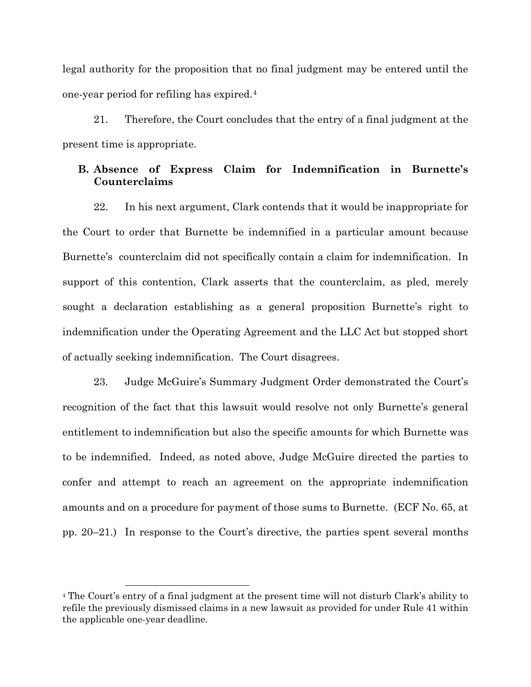legal authority for the proposition that no final judgment may be entered until the one-year period for refiling has expired.[4](#page-7-0)

21. Therefore, the Court concludes that the entry of a final judgment at the present time is appropriate.

### **B. Absence of Express Claim for Indemnification in Burnette's Counterclaims**

22. In his next argument, Clark contends that it would be inappropriate for the Court to order that Burnette be indemnified in a particular amount because Burnette's counterclaim did not specifically contain a claim for indemnification. In support of this contention, Clark asserts that the counterclaim, as pled, merely sought a declaration establishing as a general proposition Burnette's right to indemnification under the Operating Agreement and the LLC Act but stopped short of actually seeking indemnification. The Court disagrees.

23. Judge McGuire's Summary Judgment Order demonstrated the Court's recognition of the fact that this lawsuit would resolve not only Burnette's general entitlement to indemnification but also the specific amounts for which Burnette was to be indemnified. Indeed, as noted above, Judge McGuire directed the parties to confer and attempt to reach an agreement on the appropriate indemnification amounts and on a procedure for payment of those sums to Burnette. (ECF No. 65, at pp. 20–21.) In response to the Court's directive, the parties spent several months

<span id="page-7-0"></span><sup>4</sup> The Court's entry of a final judgment at the present time will not disturb Clark's ability to refile the previously dismissed claims in a new lawsuit as provided for under Rule 41 within the applicable one-year deadline.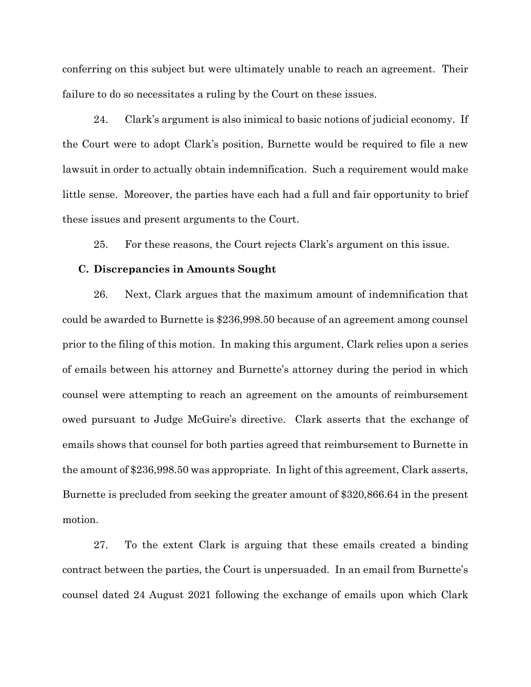conferring on this subject but were ultimately unable to reach an agreement. Their failure to do so necessitates a ruling by the Court on these issues.

24. Clark's argument is also inimical to basic notions of judicial economy. If the Court were to adopt Clark's position, Burnette would be required to file a new lawsuit in order to actually obtain indemnification. Such a requirement would make little sense. Moreover, the parties have each had a full and fair opportunity to brief these issues and present arguments to the Court.

25. For these reasons, the Court rejects Clark's argument on this issue.

#### **C. Discrepancies in Amounts Sought**

26. Next, Clark argues that the maximum amount of indemnification that could be awarded to Burnette is \$236,998.50 because of an agreement among counsel prior to the filing of this motion. In making this argument, Clark relies upon a series of emails between his attorney and Burnette's attorney during the period in which counsel were attempting to reach an agreement on the amounts of reimbursement owed pursuant to Judge McGuire's directive. Clark asserts that the exchange of emails shows that counsel for both parties agreed that reimbursement to Burnette in the amount of \$236,998.50 was appropriate. In light of this agreement, Clark asserts, Burnette is precluded from seeking the greater amount of \$320,866.64 in the present motion.

27. To the extent Clark is arguing that these emails created a binding contract between the parties, the Court is unpersuaded. In an email from Burnette's counsel dated 24 August 2021 following the exchange of emails upon which Clark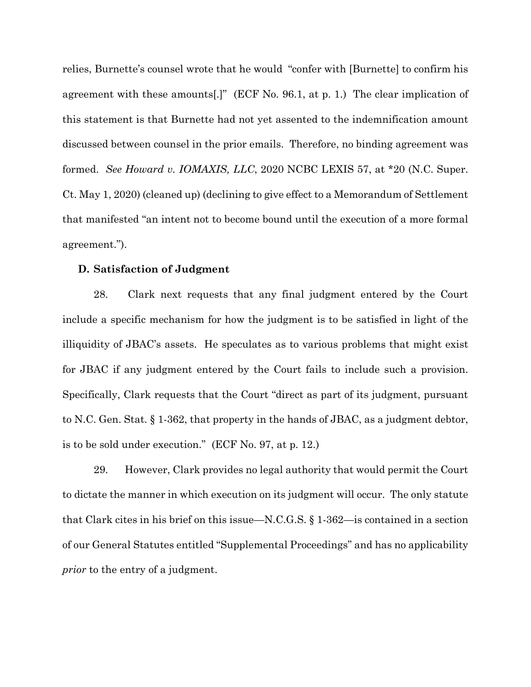relies, Burnette's counsel wrote that he would "confer with [Burnette] to confirm his agreement with these amounts[.]" (ECF No. 96.1, at p. 1.) The clear implication of this statement is that Burnette had not yet assented to the indemnification amount discussed between counsel in the prior emails. Therefore, no binding agreement was formed. *See Howard v. IOMAXIS, LLC*, 2020 NCBC LEXIS 57, at \*20 (N.C. Super. Ct. May 1, 2020) (cleaned up) (declining to give effect to a Memorandum of Settlement that manifested "an intent not to become bound until the execution of a more formal agreement.").

#### **D. Satisfaction of Judgment**

28. Clark next requests that any final judgment entered by the Court include a specific mechanism for how the judgment is to be satisfied in light of the illiquidity of JBAC's assets. He speculates as to various problems that might exist for JBAC if any judgment entered by the Court fails to include such a provision. Specifically, Clark requests that the Court "direct as part of its judgment, pursuant to N.C. Gen. Stat. § 1-362, that property in the hands of JBAC, as a judgment debtor, is to be sold under execution." (ECF No. 97, at p. 12.)

29. However, Clark provides no legal authority that would permit the Court to dictate the manner in which execution on its judgment will occur. The only statute that Clark cites in his brief on this issue—N.C.G.S. § 1-362—is contained in a section of our General Statutes entitled "Supplemental Proceedings" and has no applicability *prior* to the entry of a judgment.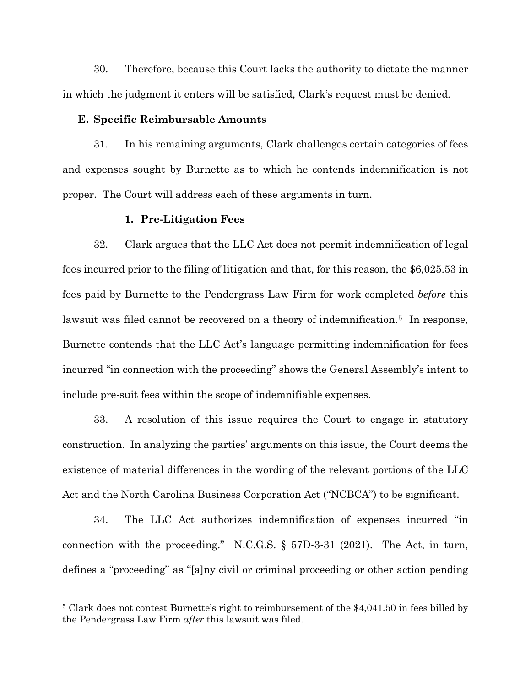30. Therefore, because this Court lacks the authority to dictate the manner in which the judgment it enters will be satisfied, Clark's request must be denied.

### **E. Specific Reimbursable Amounts**

31. In his remaining arguments, Clark challenges certain categories of fees and expenses sought by Burnette as to which he contends indemnification is not proper. The Court will address each of these arguments in turn.

#### **1. Pre-Litigation Fees**

32. Clark argues that the LLC Act does not permit indemnification of legal fees incurred prior to the filing of litigation and that, for this reason, the \$6,025.53 in fees paid by Burnette to the Pendergrass Law Firm for work completed *before* this lawsuit was filed cannot be recovered on a theory of indemnification.<sup>5</sup> In response, Burnette contends that the LLC Act's language permitting indemnification for fees incurred "in connection with the proceeding" shows the General Assembly's intent to include pre-suit fees within the scope of indemnifiable expenses.

33. A resolution of this issue requires the Court to engage in statutory construction. In analyzing the parties' arguments on this issue, the Court deems the existence of material differences in the wording of the relevant portions of the LLC Act and the North Carolina Business Corporation Act ("NCBCA") to be significant.

34. The LLC Act authorizes indemnification of expenses incurred "in connection with the proceeding." N.C.G.S. § 57D-3-31 (2021). The Act, in turn, defines a "proceeding" as "[a]ny civil or criminal proceeding or other action pending

<span id="page-10-0"></span><sup>5</sup> Clark does not contest Burnette's right to reimbursement of the \$4,041.50 in fees billed by the Pendergrass Law Firm *after* this lawsuit was filed.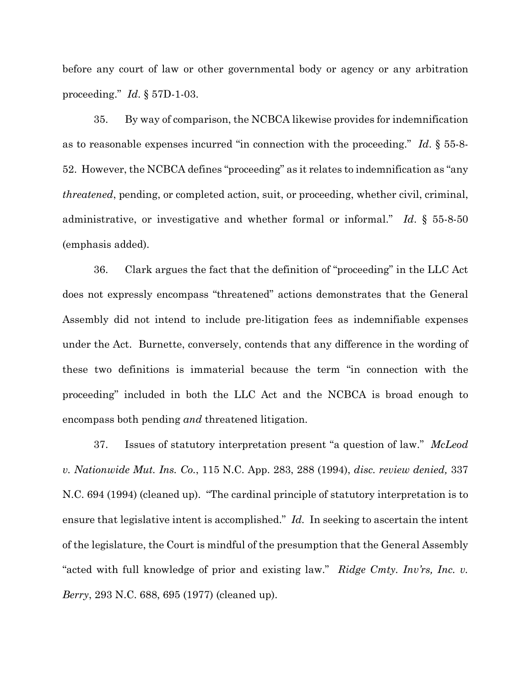before any court of law or other governmental body or agency or any arbitration proceeding." *Id*. § 57D-1-03.

35. By way of comparison, the NCBCA likewise provides for indemnification as to reasonable expenses incurred "in connection with the proceeding." *Id*. § 55-8- 52. However, the NCBCA defines "proceeding" as it relates to indemnification as "any *threatened*, pending, or completed action, suit, or proceeding, whether civil, criminal, administrative, or investigative and whether formal or informal." *Id*. § 55-8-50 (emphasis added).

36. Clark argues the fact that the definition of "proceeding" in the LLC Act does not expressly encompass "threatened" actions demonstrates that the General Assembly did not intend to include pre-litigation fees as indemnifiable expenses under the Act. Burnette, conversely, contends that any difference in the wording of these two definitions is immaterial because the term "in connection with the proceeding" included in both the LLC Act and the NCBCA is broad enough to encompass both pending *and* threatened litigation.

37. Issues of statutory interpretation present "a question of law." *McLeod v. Nationwide Mut. Ins. Co.*, 115 N.C. App. 283, 288 (1994), *disc. review denied,* 337 N.C. 694 (1994) (cleaned up). "The cardinal principle of statutory interpretation is to ensure that legislative intent is accomplished." *Id.* In seeking to ascertain the intent of the legislature, the Court is mindful of the presumption that the General Assembly "acted with full knowledge of prior and existing law." *Ridge Cmty. Inv'rs, Inc. v. Berry*, 293 N.C. 688, 695 (1977) (cleaned up).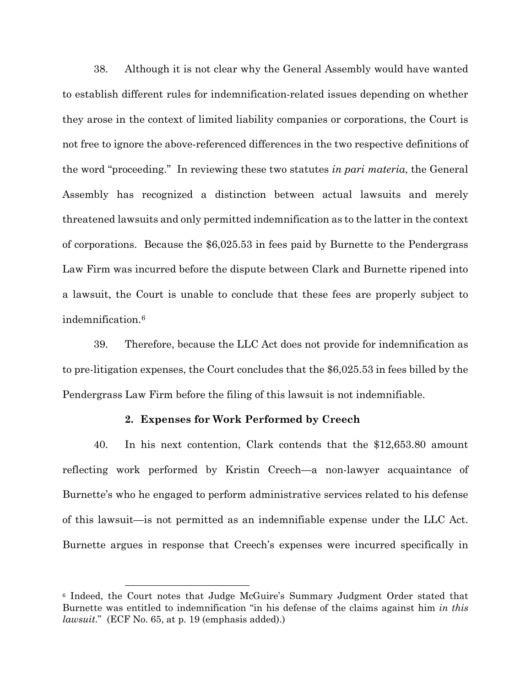38. Although it is not clear why the General Assembly would have wanted to establish different rules for indemnification-related issues depending on whether they arose in the context of limited liability companies or corporations, the Court is not free to ignore the above-referenced differences in the two respective definitions of the word "proceeding." In reviewing these two statutes *in pari materia*, the General Assembly has recognized a distinction between actual lawsuits and merely threatened lawsuits and only permitted indemnification as to the latter in the context of corporations. Because the \$6,025.53 in fees paid by Burnette to the Pendergrass Law Firm was incurred before the dispute between Clark and Burnette ripened into a lawsuit, the Court is unable to conclude that these fees are properly subject to indemnification.[6](#page-12-0)

39. Therefore, because the LLC Act does not provide for indemnification as to pre-litigation expenses, the Court concludes that the \$6,025.53 in fees billed by the Pendergrass Law Firm before the filing of this lawsuit is not indemnifiable.

### **2. Expenses for Work Performed by Creech**

40. In his next contention, Clark contends that the \$12,653.80 amount reflecting work performed by Kristin Creech—a non-lawyer acquaintance of Burnette's who he engaged to perform administrative services related to his defense of this lawsuit—is not permitted as an indemnifiable expense under the LLC Act. Burnette argues in response that Creech's expenses were incurred specifically in

<span id="page-12-0"></span><sup>6</sup> Indeed, the Court notes that Judge McGuire's Summary Judgment Order stated that Burnette was entitled to indemnification "in his defense of the claims against him *in this lawsuit*." (ECF No. 65, at p. 19 (emphasis added).)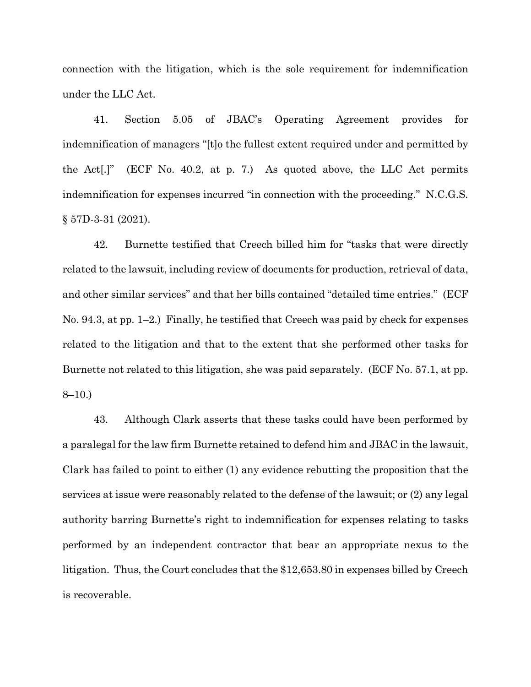connection with the litigation, which is the sole requirement for indemnification under the LLC Act.

41. Section 5.05 of JBAC's Operating Agreement provides for indemnification of managers "[t]o the fullest extent required under and permitted by the Act[.]" (ECF No. 40.2, at p. 7.) As quoted above, the LLC Act permits indemnification for expenses incurred "in connection with the proceeding." N.C.G.S. § 57D-3-31 (2021).

42. Burnette testified that Creech billed him for "tasks that were directly related to the lawsuit, including review of documents for production, retrieval of data, and other similar services" and that her bills contained "detailed time entries." (ECF No. 94.3, at pp. 1–2.) Finally, he testified that Creech was paid by check for expenses related to the litigation and that to the extent that she performed other tasks for Burnette not related to this litigation, she was paid separately. (ECF No. 57.1, at pp. 8–10.)

43. Although Clark asserts that these tasks could have been performed by a paralegal for the law firm Burnette retained to defend him and JBAC in the lawsuit, Clark has failed to point to either (1) any evidence rebutting the proposition that the services at issue were reasonably related to the defense of the lawsuit; or (2) any legal authority barring Burnette's right to indemnification for expenses relating to tasks performed by an independent contractor that bear an appropriate nexus to the litigation. Thus, the Court concludes that the \$12,653.80 in expenses billed by Creech is recoverable.